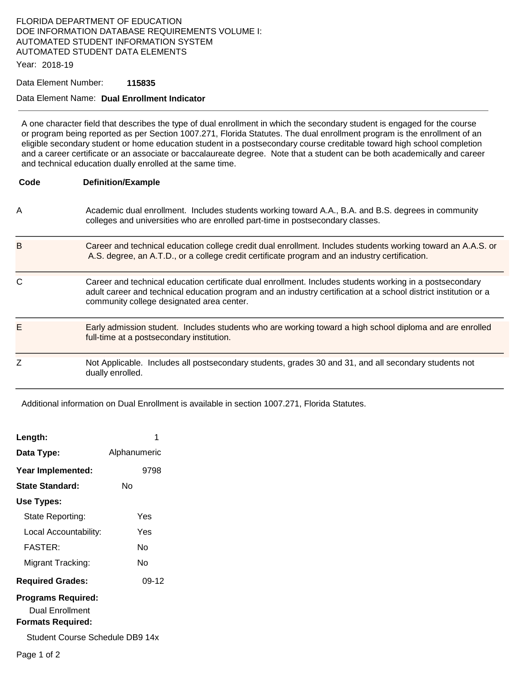# FLORIDA DEPARTMENT OF EDUCATION DOE INFORMATION DATABASE REQUIREMENTS VOLUME I: AUTOMATED STUDENT INFORMATION SYSTEM AUTOMATED STUDENT DATA ELEMENTS

Year: 2018-19

#### Data Element Number: **115835**

### Data Element Name: **Dual Enrollment Indicator**

A one character field that describes the type of dual enrollment in which the secondary student is engaged for the course or program being reported as per Section 1007.271, Florida Statutes. The dual enrollment program is the enrollment of an eligible secondary student or home education student in a postsecondary course creditable toward high school completion and a career certificate or an associate or baccalaureate degree. Note that a student can be both academically and career and technical education dually enrolled at the same time.

| Code | <b>Definition/Example</b>                                                                                                                                                                                                                                                 |
|------|---------------------------------------------------------------------------------------------------------------------------------------------------------------------------------------------------------------------------------------------------------------------------|
| A    | Academic dual enrollment. Includes students working toward A.A., B.A. and B.S. degrees in community<br>colleges and universities who are enrolled part-time in postsecondary classes.                                                                                     |
| в    | Career and technical education college credit dual enrollment. Includes students working toward an A.A.S. or<br>A.S. degree, an A.T.D., or a college credit certificate program and an industry certification.                                                            |
| C    | Career and technical education certificate dual enrollment. Includes students working in a postsecondary<br>adult career and technical education program and an industry certification at a school district institution or a<br>community college designated area center. |
| Ε    | Early admission student. Includes students who are working toward a high school diploma and are enrolled<br>full-time at a postsecondary institution.                                                                                                                     |
| Z    | Not Applicable. Includes all postsecondary students, grades 30 and 31, and all secondary students not<br>dually enrolled.                                                                                                                                                 |

Additional information on Dual Enrollment is available in section 1007.271, Florida Statutes.

| Length:                                                                  |              |  |  |
|--------------------------------------------------------------------------|--------------|--|--|
| Data Type:                                                               | Alphanumeric |  |  |
| Year Implemented:                                                        | 9798         |  |  |
| <b>State Standard:</b>                                                   | N٥           |  |  |
| Use Types:                                                               |              |  |  |
| State Reporting:                                                         | Yes          |  |  |
| Local Accountability:                                                    | Yes          |  |  |
| <b>FASTER:</b>                                                           | N٥           |  |  |
| Migrant Tracking:                                                        | N٥           |  |  |
| <b>Required Grades:</b>                                                  | 09-12        |  |  |
| <b>Programs Required:</b><br>Dual Enrollment<br><b>Formats Required:</b> |              |  |  |
| Student Course Schedule DB9 14x                                          |              |  |  |